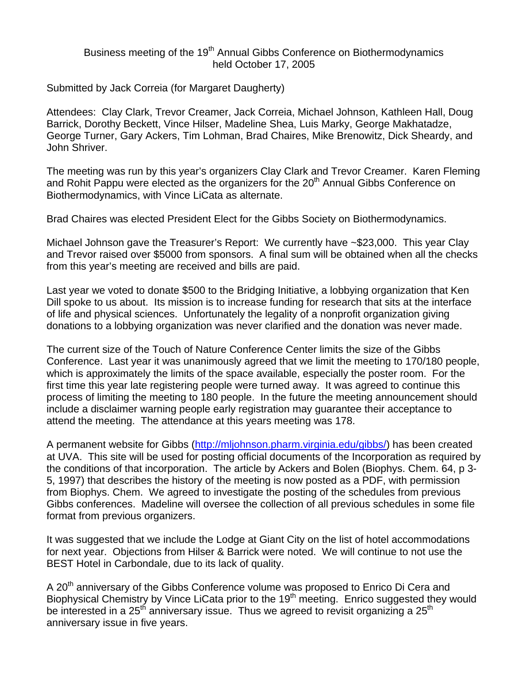## Business meeting of the 19<sup>th</sup> Annual Gibbs Conference on Biothermodynamics held October 17, 2005

Submitted by Jack Correia (for Margaret Daugherty)

Attendees: Clay Clark, Trevor Creamer, Jack Correia, Michael Johnson, Kathleen Hall, Doug Barrick, Dorothy Beckett, Vince Hilser, Madeline Shea, Luis Marky, George Makhatadze, George Turner, Gary Ackers, Tim Lohman, Brad Chaires, Mike Brenowitz, Dick Sheardy, and John Shriver.

The meeting was run by this year's organizers Clay Clark and Trevor Creamer. Karen Fleming and Rohit Pappu were elected as the organizers for the  $20<sup>th</sup>$  Annual Gibbs Conference on Biothermodynamics, with Vince LiCata as alternate.

Brad Chaires was elected President Elect for the Gibbs Society on Biothermodynamics.

Michael Johnson gave the Treasurer's Report: We currently have ~\$23,000. This year Clay and Trevor raised over \$5000 from sponsors. A final sum will be obtained when all the checks from this year's meeting are received and bills are paid.

Last year we voted to donate \$500 to the Bridging Initiative, a lobbying organization that Ken Dill spoke to us about. Its mission is to increase funding for research that sits at the interface of life and physical sciences. Unfortunately the legality of a nonprofit organization giving donations to a lobbying organization was never clarified and the donation was never made.

The current size of the Touch of Nature Conference Center limits the size of the Gibbs Conference. Last year it was unanimously agreed that we limit the meeting to 170/180 people, which is approximately the limits of the space available, especially the poster room. For the first time this year late registering people were turned away. It was agreed to continue this process of limiting the meeting to 180 people. In the future the meeting announcement should include a disclaimer warning people early registration may guarantee their acceptance to attend the meeting. The attendance at this years meeting was 178.

A permanent website for Gibbs (http://mljohnson.pharm.virginia.edu/gibbs/) has been created at UVA. This site will be used for posting official documents of the Incorporation as required by the conditions of that incorporation. The article by Ackers and Bolen (Biophys. Chem. 64, p 3- 5, 1997) that describes the history of the meeting is now posted as a PDF, with permission from Biophys. Chem. We agreed to investigate the posting of the schedules from previous Gibbs conferences. Madeline will oversee the collection of all previous schedules in some file format from previous organizers.

It was suggested that we include the Lodge at Giant City on the list of hotel accommodations for next year. Objections from Hilser & Barrick were noted. We will continue to not use the BEST Hotel in Carbondale, due to its lack of quality.

A 20<sup>th</sup> anniversary of the Gibbs Conference volume was proposed to Enrico Di Cera and Biophysical Chemistry by Vince LiCata prior to the 19<sup>th</sup> meeting. Enrico suggested they would be interested in a  $25<sup>th</sup>$  anniversary issue. Thus we agreed to revisit organizing a  $25<sup>th</sup>$ anniversary issue in five years.